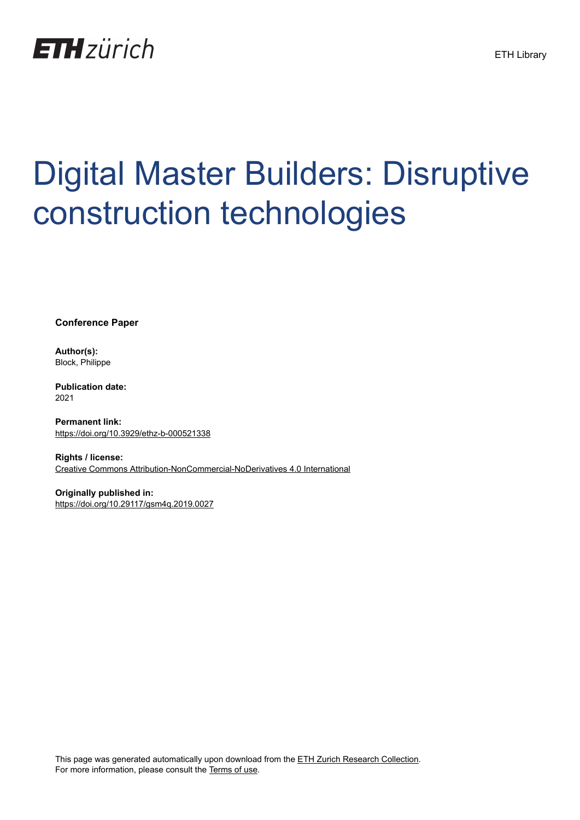

# Digital Master Builders: Disruptive construction technologies

**Conference Paper**

**Author(s):** Block, Philippe

**Publication date:** 2021

**Permanent link:** <https://doi.org/10.3929/ethz-b-000521338>

**Rights / license:** [Creative Commons Attribution-NonCommercial-NoDerivatives 4.0 International](http://creativecommons.org/licenses/by-nc-nd/4.0/)

**Originally published in:** <https://doi.org/10.29117/gsm4q.2019.0027>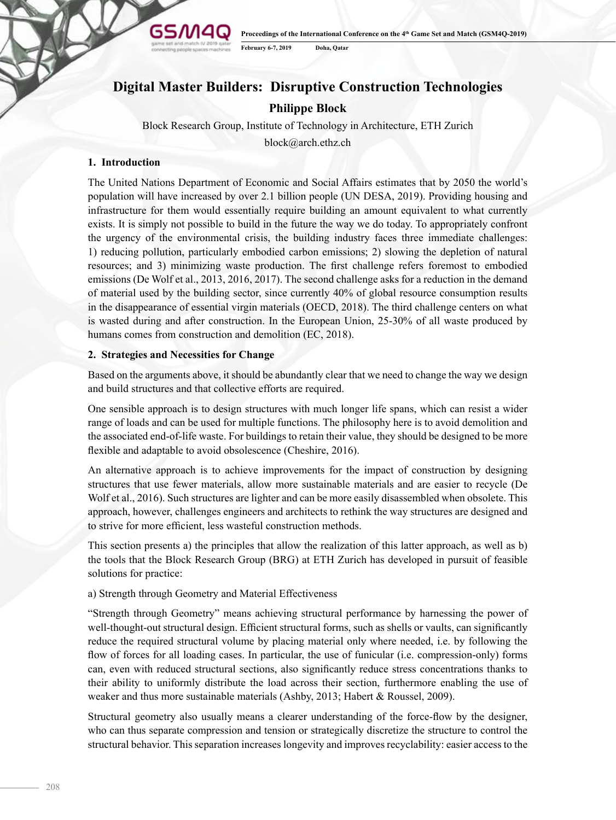**Proceedings of the International Conference on the 4th Game Set and Match (GSM4Q-2019) February 6-7, 2019 Doha, Qatar**

# **Digital Master Builders: Disruptive Construction Technologies**

# **Philippe Block**

Block Research Group, Institute of Technology in Architecture, ETH Zurich

block@arch.ethz.ch

# **1. Introduction**

The United Nations Department of Economic and Social Affairs estimates that by 2050 the world's population will have increased by over 2.1 billion people (UN DESA, 2019). Providing housing and infrastructure for them would essentially require building an amount equivalent to what currently exists. It is simply not possible to build in the future the way we do today. To appropriately confront the urgency of the environmental crisis, the building industry faces three immediate challenges: 1) reducing pollution, particularly embodied carbon emissions; 2) slowing the depletion of natural resources; and 3) minimizing waste production. The first challenge refers foremost to embodied emissions (De Wolf et al., 2013, 2016, 2017). The second challenge asks for a reduction in the demand of material used by the building sector, since currently 40% of global resource consumption results in the disappearance of essential virgin materials (OECD, 2018). The third challenge centers on what is wasted during and after construction. In the European Union, 25-30% of all waste produced by humans comes from construction and demolition (EC, 2018).

### **2. Strategies and Necessities for Change**

**GSM4G** 

Based on the arguments above, it should be abundantly clear that we need to change the way we design and build structures and that collective efforts are required.

One sensible approach is to design structures with much longer life spans, which can resist a wider range of loads and can be used for multiple functions. The philosophy here is to avoid demolition and the associated end-of-life waste. For buildings to retain their value, they should be designed to be more flexible and adaptable to avoid obsolescence (Cheshire, 2016).

An alternative approach is to achieve improvements for the impact of construction by designing structures that use fewer materials, allow more sustainable materials and are easier to recycle (De Wolf et al., 2016). Such structures are lighter and can be more easily disassembled when obsolete. This approach, however, challenges engineers and architects to rethink the way structures are designed and to strive for more efficient, less wasteful construction methods.

This section presents a) the principles that allow the realization of this latter approach, as well as b) the tools that the Block Research Group (BRG) at ETH Zurich has developed in pursuit of feasible solutions for practice:

#### a) Strength through Geometry and Material Effectiveness

"Strength through Geometry" means achieving structural performance by harnessing the power of well-thought-out structural design. Efficient structural forms, such as shells or vaults, can significantly reduce the required structural volume by placing material only where needed, i.e. by following the flow of forces for all loading cases. In particular, the use of funicular (i.e. compression-only) forms can, even with reduced structural sections, also significantly reduce stress concentrations thanks to their ability to uniformly distribute the load across their section, furthermore enabling the use of weaker and thus more sustainable materials (Ashby, 2013; Habert & Roussel, 2009).

Structural geometry also usually means a clearer understanding of the force-flow by the designer, who can thus separate compression and tension or strategically discretize the structure to control the structural behavior. This separation increases longevity and improves recyclability: easier access to the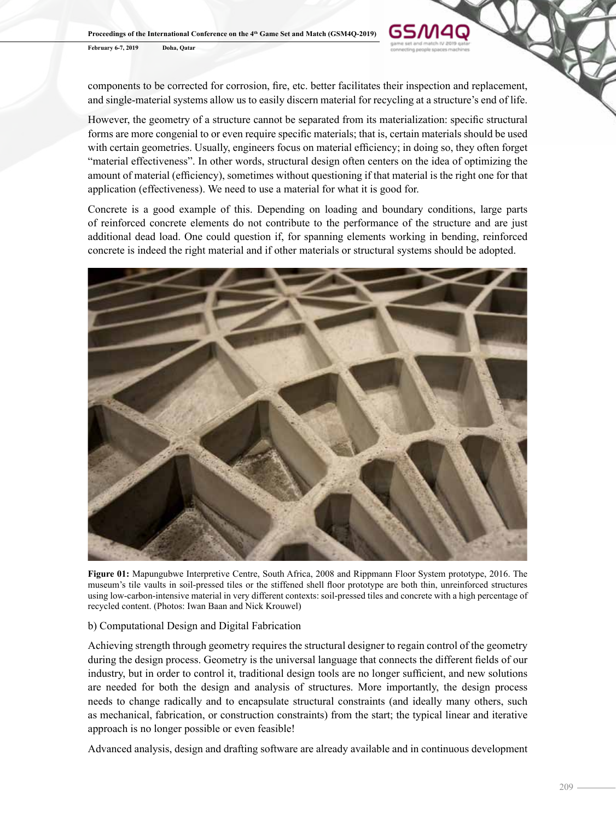**February 6-7, 2019 Doha, Qatar**

components to be corrected for corrosion, fire, etc. better facilitates their inspection and replacement, and single-material systems allow us to easily discern material for recycling at a structure's end of life.

GSM4Q

However, the geometry of a structure cannot be separated from its materialization: specific structural forms are more congenial to or even require specific materials; that is, certain materials should be used with certain geometries. Usually, engineers focus on material efficiency; in doing so, they often forget "material effectiveness". In other words, structural design often centers on the idea of optimizing the amount of material (efficiency), sometimes without questioning if that material is the right one for that application (effectiveness). We need to use a material for what it is good for.

Concrete is a good example of this. Depending on loading and boundary conditions, large parts of reinforced concrete elements do not contribute to the performance of the structure and are just additional dead load. One could question if, for spanning elements working in bending, reinforced concrete is indeed the right material and if other materials or structural systems should be adopted.



**Figure 01:** Mapungubwe Interpretive Centre, South Africa, 2008 and Rippmann Floor System prototype, 2016. The museum's tile vaults in soil-pressed tiles or the stiffened shell floor prototype are both thin, unreinforced structures using low-carbon-intensive material in very different contexts: soil-pressed tiles and concrete with a high percentage of recycled content. (Photos: Iwan Baan and Nick Krouwel)

## b) Computational Design and Digital Fabrication

Achieving strength through geometry requires the structural designer to regain control of the geometry during the design process. Geometry is the universal language that connects the different fields of our industry, but in order to control it, traditional design tools are no longer sufficient, and new solutions are needed for both the design and analysis of structures. More importantly, the design process needs to change radically and to encapsulate structural constraints (and ideally many others, such as mechanical, fabrication, or construction constraints) from the start; the typical linear and iterative approach is no longer possible or even feasible!

Advanced analysis, design and drafting software are already available and in continuous development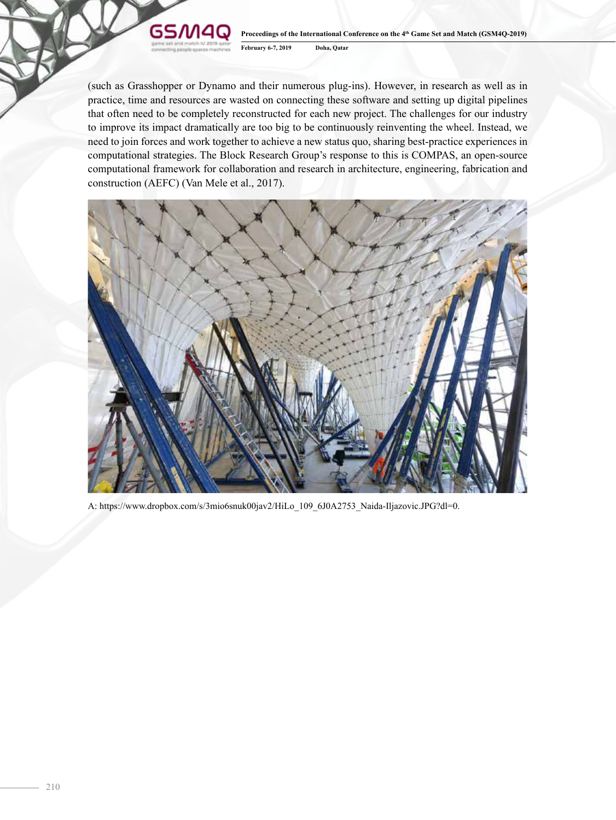#### **GSM4G Proceedings of the International Conference on the 4th Game Set and Match (GSM4Q-2019) February 6-7, 2019 Doha, Qatar**

(such as Grasshopper or Dynamo and their numerous plug-ins). However, in research as well as in practice, time and resources are wasted on connecting these software and setting up digital pipelines that often need to be completely reconstructed for each new project. The challenges for our industry to improve its impact dramatically are too big to be continuously reinventing the wheel. Instead, we need to join forces and work together to achieve a new status quo, sharing best-practice experiences in computational strategies. The Block Research Group's response to this is COMPAS, an open-source computational framework for collaboration and research in architecture, engineering, fabrication and construction (AEFC) (Van Mele et al., 2017).



A: https://www.dropbox.com/s/3mio6snuk00jav2/HiLo\_109\_6J0A2753\_Naida-Iljazovic.JPG?dl=0.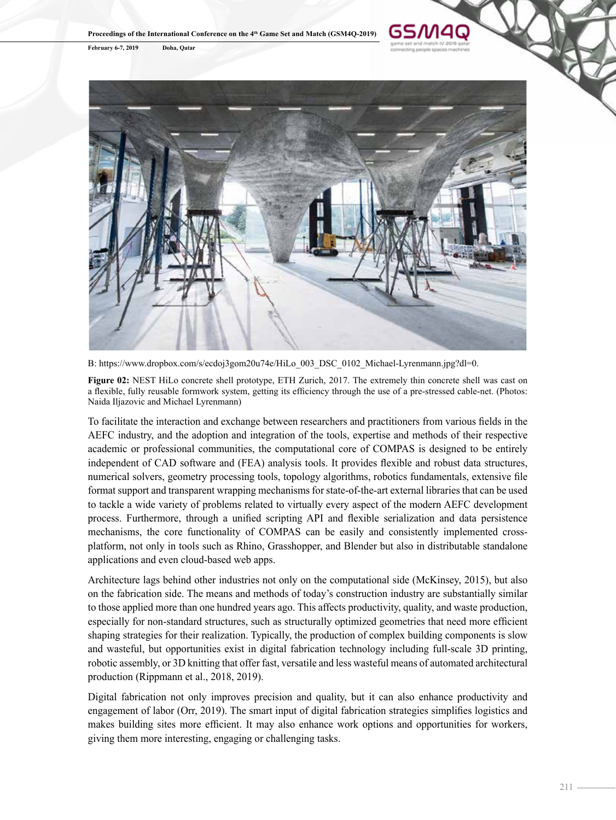**Proceedings of the International Conference on the 4th Game Set and Match (GSM4Q-2019)**

**February 6-7, 2019 Doha, Qatar**



GSM4Q

B: https://www.dropbox.com/s/ecdoj3gom20u74e/HiLo 003 DSC 0102 Michael-Lyrenmann.jpg?dl=0.

**Figure 02:** NEST HiLo concrete shell prototype. ETH Zurich, 2017. The extremely thin concrete shell was cast on a flexible, fully reusable formwork system, getting its efficiency through the use of a pre-stressed cable-net. (Photos: Naida Iljazovic and Michael Lyrenmann)

To facilitate the interaction and exchange between researchers and practitioners from various fields in the AEFC industry, and the adoption and integration of the tools, expertise and methods of their respective academic or professional communities, the computational core of COMPAS is designed to be entirely independent of CAD software and (FEA) analysis tools. It provides flexible and robust data structures, numerical solvers, geometry processing tools, topology algorithms, robotics fundamentals, extensive file format support and transparent wrapping mechanisms for state-of-the-art external libraries that can be used to tackle a wide variety of problems related to virtually every aspect of the modern AEFC development process. Furthermore, through a unified scripting API and flexible serialization and data persistence mechanisms, the core functionality of COMPAS can be easily and consistently implemented crossplatform, not only in tools such as Rhino, Grasshopper, and Blender but also in distributable standalone applications and even cloud-based web apps.

Architecture lags behind other industries not only on the computational side (McKinsey, 2015), but also on the fabrication side. The means and methods of today's construction industry are substantially similar to those applied more than one hundred years ago. This affects productivity, quality, and waste production, especially for non-standard structures, such as structurally optimized geometries that need more efficient shaping strategies for their realization. Typically, the production of complex building components is slow and wasteful, but opportunities exist in digital fabrication technology including full-scale 3D printing, robotic assembly, or 3D knitting that offer fast, versatile and less wasteful means of automated architectural production (Rippmann et al., 2018, 2019).

Digital fabrication not only improves precision and quality, but it can also enhance productivity and engagement of labor (Orr, 2019). The smart input of digital fabrication strategies simplifies logistics and makes building sites more efficient. It may also enhance work options and opportunities for workers, giving them more interesting, engaging or challenging tasks.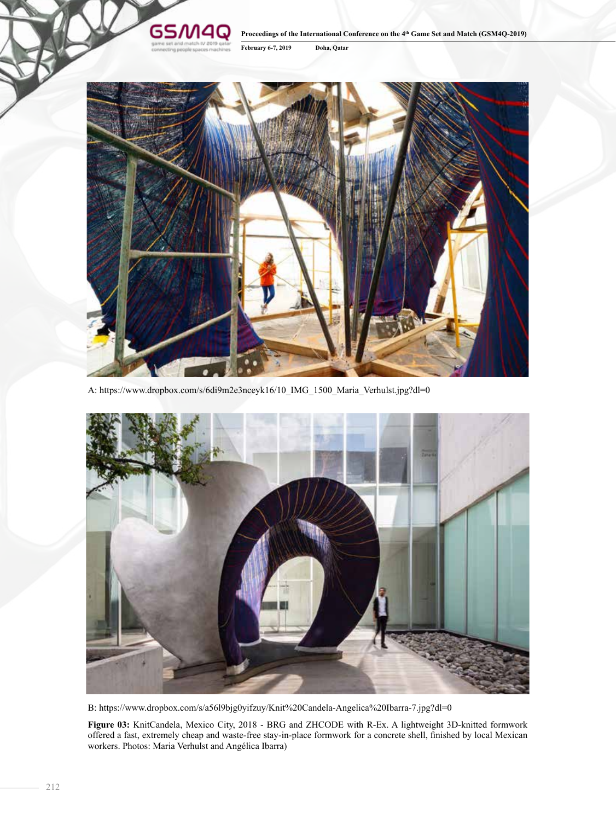#### **GSM40 Proceedings of the International Conference on the 4th Game Set and Match (GSM4Q-2019) February 6-7, 2019 Doha, Qatar**



A: https://www.dropbox.com/s/6di9m2e3nceyk16/10\_IMG\_1500\_Maria\_Verhulst.jpg?dl=0



B: https://www.dropbox.com/s/a56l9bjg0yifzuy/Knit%20Candela-Angelica%20Ibarra-7.jpg?dl=0

**Figure 03:** KnitCandela, Mexico City, 2018 - BRG and ZHCODE with R-Ex. A lightweight 3D-knitted formwork offered a fast, extremely cheap and waste-free stay-in-place formwork for a concrete shell, finished by local Mexican workers. Photos: Maria Verhulst and Angélica Ibarra)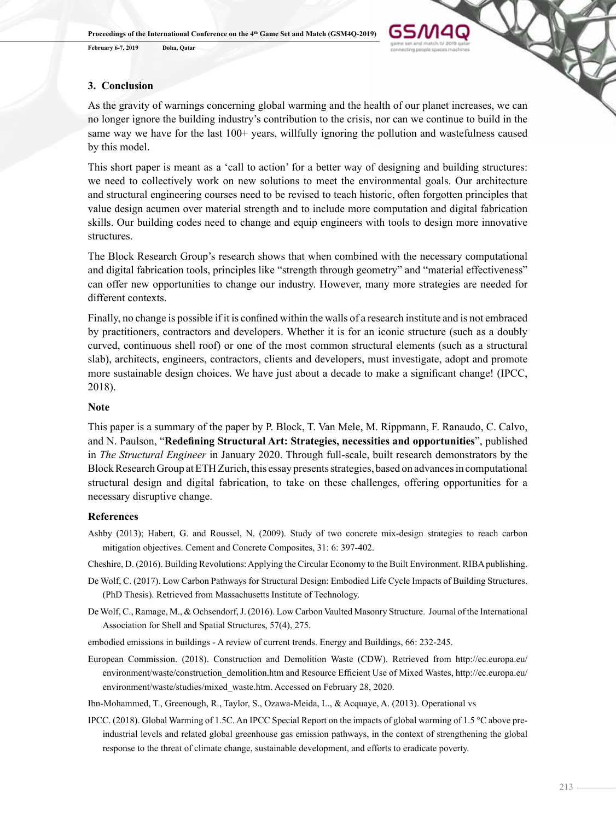**February 6-7, 2019 Doha, Qatar**



### **3. Conclusion**

As the gravity of warnings concerning global warming and the health of our planet increases, we can no longer ignore the building industry's contribution to the crisis, nor can we continue to build in the same way we have for the last 100+ years, willfully ignoring the pollution and wastefulness caused by this model.

This short paper is meant as a 'call to action' for a better way of designing and building structures: we need to collectively work on new solutions to meet the environmental goals. Our architecture and structural engineering courses need to be revised to teach historic, often forgotten principles that value design acumen over material strength and to include more computation and digital fabrication skills. Our building codes need to change and equip engineers with tools to design more innovative structures.

The Block Research Group's research shows that when combined with the necessary computational and digital fabrication tools, principles like "strength through geometry" and "material effectiveness" can offer new opportunities to change our industry. However, many more strategies are needed for different contexts.

Finally, no change is possible if it is confined within the walls of a research institute and is not embraced by practitioners, contractors and developers. Whether it is for an iconic structure (such as a doubly curved, continuous shell roof) or one of the most common structural elements (such as a structural slab), architects, engineers, contractors, clients and developers, must investigate, adopt and promote more sustainable design choices. We have just about a decade to make a significant change! (IPCC, 2018).

#### **Note**

This paper is a summary of the paper by P. Block, T. Van Mele, M. Rippmann, F. Ranaudo, C. Calvo, and N. Paulson, "**Redefining Structural Art: Strategies, necessities and opportunities**", published in *The Structural Engineer* in January 2020. Through full-scale, built research demonstrators by the Block Research Group at ETH Zurich, this essay presents strategies, based on advances in computational structural design and digital fabrication, to take on these challenges, offering opportunities for a necessary disruptive change.

#### **References**

Ashby (2013); Habert, G. and Roussel, N. (2009). Study of two concrete mix-design strategies to reach carbon mitigation objectives. Cement and Concrete Composites, 31: 6: 397-402.

Cheshire, D. (2016). Building Revolutions: Applying the Circular Economy to the Built Environment. RIBA publishing.

- De Wolf, C. (2017). Low Carbon Pathways for Structural Design: Embodied Life Cycle Impacts of Building Structures. (PhD Thesis). Retrieved from Massachusetts Institute of Technology.
- De Wolf, C., Ramage, M., & Ochsendorf, J. (2016). Low Carbon Vaulted Masonry Structure. Journal of the International Association for Shell and Spatial Structures, 57(4), 275.
- embodied emissions in buildings A review of current trends. Energy and Buildings, 66: 232-245.
- European Commission. (2018). Construction and Demolition Waste (CDW). Retrieved from http://ec.europa.eu/ environment/waste/construction\_demolition.htm and Resource Efficient Use of Mixed Wastes, http://ec.europa.eu/ environment/waste/studies/mixed\_waste.htm. Accessed on February 28, 2020.

Ibn-Mohammed, T., Greenough, R., Taylor, S., Ozawa-Meida, L., & Acquaye, A. (2013). Operational vs

IPCC. (2018). Global Warming of 1.5C. An IPCC Special Report on the impacts of global warming of 1.5 °C above preindustrial levels and related global greenhouse gas emission pathways, in the context of strengthening the global response to the threat of climate change, sustainable development, and efforts to eradicate poverty.